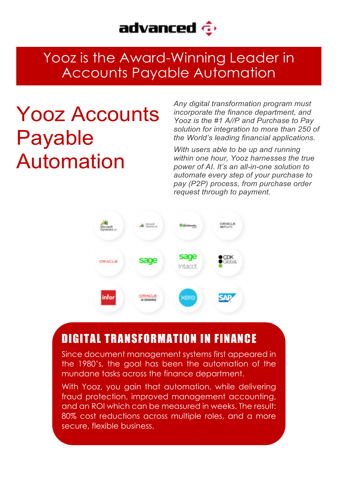

### Yooz is the Award-Winning Leader in Accounts Payable Automation

# Yooz Accounts Payable Automation

*Any digital transformation program must incorporate the finance department, and Yooz is the #1 A//P and Purchase to Pay solution for integration to more than 250 of the World's leading financial applications.*

*With users able to be up and running within one hour, Yooz harnesses the true power of AI. It's an all-in-one solution to automate every step of your purchase to pay (P2P) process, from purchase order request through to payment.*



#### DIGITAL TRANSFORMATION IN FINANCE

Since document management systems first appeared in the 1980's, the goal has been the automation of the mundane tasks across the finance department.

With Yooz, you gain that automation, while delivering fraud protection, improved management accounting, and an ROI which can be measured in weeks. The result: 80% cost reductions across multiple roles, and a more secure, flexible business.